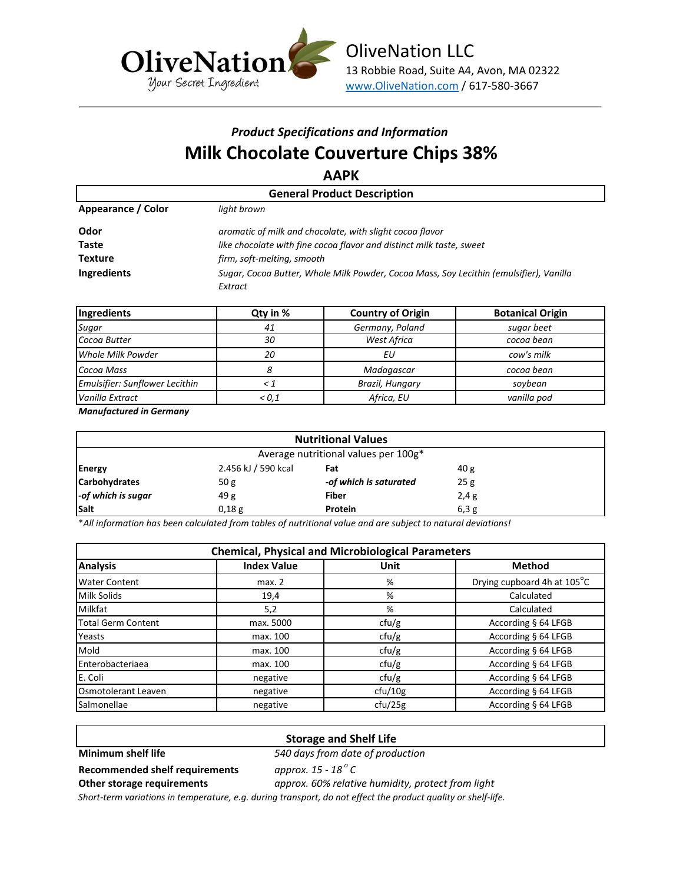

# *Product Specifications and Information* **Milk Chocolate Couverture Chips 38%**

**AAPK**

| <b>General Product Description</b> |                                                                                                   |  |  |
|------------------------------------|---------------------------------------------------------------------------------------------------|--|--|
| Appearance / Color                 | light brown                                                                                       |  |  |
| Odor                               | aromatic of milk and chocolate, with slight cocoa flavor                                          |  |  |
| Taste                              | like chocolate with fine cocoa flavor and distinct milk taste, sweet                              |  |  |
| <b>Texture</b>                     | firm, soft-melting, smooth                                                                        |  |  |
| Ingredients                        | Sugar, Cocoa Butter, Whole Milk Powder, Cocoa Mass, Soy Lecithin (emulsifier), Vanilla<br>Extract |  |  |

| Ingredients                    | Qty in %        | <b>Country of Origin</b> | <b>Botanical Origin</b> |  |
|--------------------------------|-----------------|--------------------------|-------------------------|--|
| Sugar                          | 41              | Germany, Poland          | sugar beet              |  |
| Cocoa Butter                   | 30              | <b>West Africa</b>       | cocoa bean              |  |
| Whole Milk Powder              | 20              | ΕU                       | cow's milk              |  |
| Cocoa Mass                     |                 | Madagascar               | cocoa bean              |  |
| Emulsifier: Sunflower Lecithin | Brazil, Hungary |                          | soybean                 |  |
| Vanilla Extract                | < 0.1           | Africa, EU               | vanilla pod             |  |

*Manufactured in Germany*

| <b>Nutritional Values</b>            |                     |                        |                 |  |
|--------------------------------------|---------------------|------------------------|-----------------|--|
| Average nutritional values per 100g* |                     |                        |                 |  |
| <b>Energy</b>                        | 2.456 kJ / 590 kcal | Fat                    | 40 <sub>g</sub> |  |
| <b>Carbohydrates</b>                 | 50 <sub>g</sub>     | -of which is saturated | 25g             |  |
| -of which is sugar                   | 49g                 | <b>Fiber</b>           | 2,4g            |  |
| <b>Salt</b>                          | 0,18g               | Protein                | 6,3g            |  |

\**All information has been calculated from tables of nutritional value and are subject to natural deviations!*

| <b>Chemical, Physical and Microbiological Parameters</b> |                        |                              |                             |  |
|----------------------------------------------------------|------------------------|------------------------------|-----------------------------|--|
| <b>Analysis</b>                                          | <b>Index Value</b>     | Unit                         | <b>Method</b>               |  |
| <b>Water Content</b>                                     | %<br>max. 2            |                              | Drying cupboard 4h at 105°C |  |
| Milk Solids                                              | %<br>19,4              |                              | Calculated                  |  |
| <b>Milkfat</b>                                           | Calculated<br>5,2<br>% |                              |                             |  |
| Total Germ Content                                       | max. 5000              | ctu/g                        | According § 64 LFGB         |  |
| Yeasts                                                   | max. 100               | ctu/g                        | According § 64 LFGB         |  |
| Mold                                                     | max. 100               | According § 64 LFGB<br>ctu/g |                             |  |
| <b>I</b> Enterobacteriaea                                | max. 100               | According § 64 LFGB<br>ctu/g |                             |  |
| E. Coli                                                  | negative               | ctu/g<br>According § 64 LFGB |                             |  |
| Osmotolerant Leaven                                      | negative               | ctu/10g                      | According § 64 LFGB         |  |
| Salmonellae                                              | negative               | ctu/25g                      | According § 64 LFGB         |  |

# **Storage and Shelf Life**

**Minimum shelf life** *540 days from date of production*

**Recommended shelf requirements** *approx. 15 - 18 <sup>o</sup>*

approx. 15 - 18<sup>°</sup> C **Other storage requirements** *approx. 60% relative humidity, protect from light*

*Short-term variations in temperature, e.g. during transport, do not effect the product quality or shelf-life.*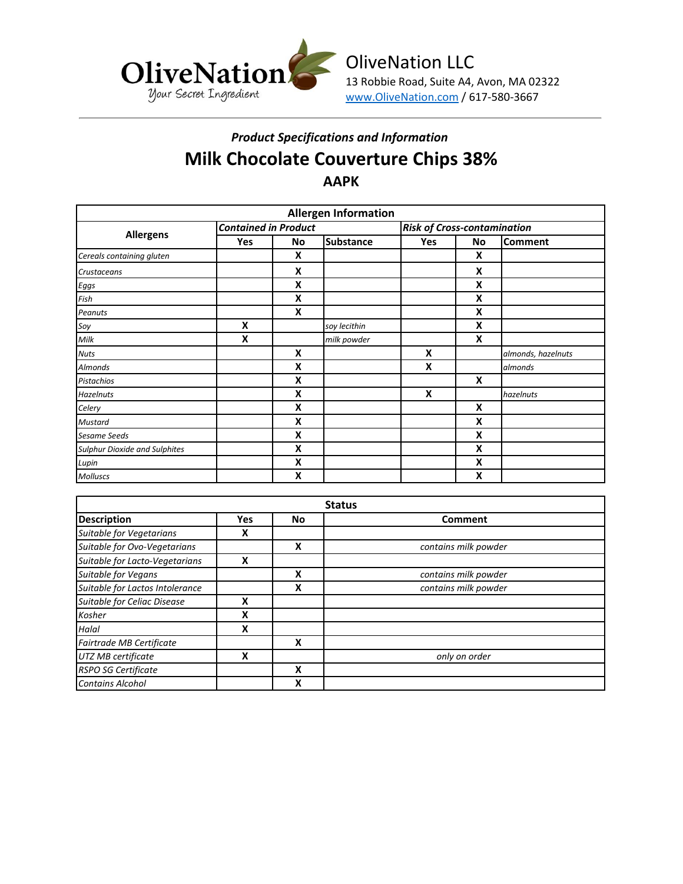

# *Product Specifications and Information* **Milk Chocolate Couverture Chips 38% AAPK**

| <b>Allergen Information</b>          |                             |                           |                  |                                    |    |                    |
|--------------------------------------|-----------------------------|---------------------------|------------------|------------------------------------|----|--------------------|
| <b>Allergens</b>                     | <b>Contained in Product</b> |                           |                  | <b>Risk of Cross-contamination</b> |    |                    |
|                                      | <b>Yes</b>                  | No                        | <b>Substance</b> | Yes                                | No | <b>Comment</b>     |
| Cereals containing gluten            |                             | X                         |                  |                                    | X  |                    |
| Crustaceans                          |                             | X                         |                  |                                    | X  |                    |
| Eggs                                 |                             | X                         |                  |                                    | X  |                    |
| Fish                                 |                             | X                         |                  |                                    | X  |                    |
| Peanuts                              |                             | X                         |                  |                                    | X  |                    |
| Soy                                  | X                           |                           | soy lecithin     |                                    | X  |                    |
| Milk                                 | X                           |                           | milk powder      |                                    | X  |                    |
| <b>Nuts</b>                          |                             | $\boldsymbol{\mathsf{x}}$ |                  | X                                  |    | almonds, hazelnuts |
| Almonds                              |                             | X                         |                  | X                                  |    | almonds            |
| Pistachios                           |                             | X                         |                  |                                    | X  |                    |
| <b>Hazelnuts</b>                     |                             | X                         |                  | X                                  |    | hazelnuts          |
| Celery                               |                             | X                         |                  |                                    | X  |                    |
| <b>Mustard</b>                       |                             | X                         |                  |                                    | X  |                    |
| <b>Sesame Seeds</b>                  |                             | X                         |                  |                                    | X  |                    |
| <b>Sulphur Dioxide and Sulphites</b> |                             | X                         |                  |                                    | X  |                    |
| Lupin                                |                             | X                         |                  |                                    | X  |                    |
| Molluscs                             |                             | X                         |                  |                                    | X  |                    |

| <b>Status</b>                   |     |    |                      |
|---------------------------------|-----|----|----------------------|
| <b>Description</b>              | Yes | No | Comment              |
| Suitable for Vegetarians        | X   |    |                      |
| Suitable for Ovo-Vegetarians    |     | x  | contains milk powder |
| Suitable for Lacto-Vegetarians  | X   |    |                      |
| Suitable for Vegans             |     | x  | contains milk powder |
| Suitable for Lactos Intolerance |     | χ  | contains milk powder |
| Suitable for Celiac Disease     | x   |    |                      |
| Kosher                          | x   |    |                      |
| Halal                           | X   |    |                      |
| Fairtrade MB Certificate        |     | x  |                      |
| UTZ MB certificate              | x   |    | only on order        |
| <b>RSPO SG Certificate</b>      |     | χ  |                      |
| <b>Contains Alcohol</b>         |     | x  |                      |